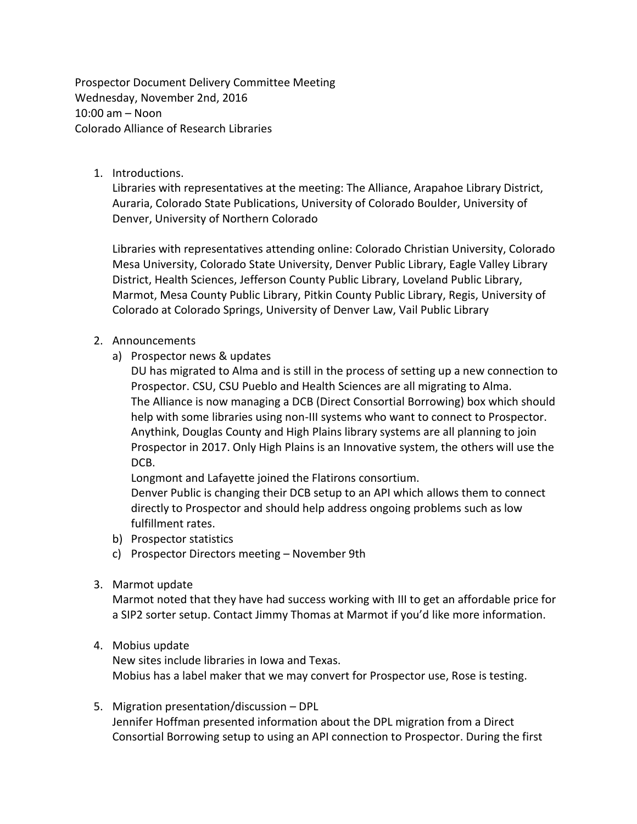Prospector Document Delivery Committee Meeting Wednesday, November 2nd, 2016  $10:00$  am – Noon Colorado Alliance of Research Libraries

1. Introductions.

Libraries with representatives at the meeting: The Alliance, Arapahoe Library District, Auraria, Colorado State Publications, University of Colorado Boulder, University of Denver, University of Northern Colorado

Libraries with representatives attending online: Colorado Christian University, Colorado Mesa University, Colorado State University, Denver Public Library, Eagle Valley Library District, Health Sciences, Jefferson County Public Library, Loveland Public Library, Marmot, Mesa County Public Library, Pitkin County Public Library, Regis, University of Colorado at Colorado Springs, University of Denver Law, Vail Public Library

## 2. Announcements

a) Prospector news & updates

DU has migrated to Alma and is still in the process of setting up a new connection to Prospector. CSU, CSU Pueblo and Health Sciences are all migrating to Alma. The Alliance is now managing a DCB (Direct Consortial Borrowing) box which should help with some libraries using non-III systems who want to connect to Prospector. Anythink, Douglas County and High Plains library systems are all planning to join Prospector in 2017. Only High Plains is an Innovative system, the others will use the DCB.

Longmont and Lafayette joined the Flatirons consortium. Denver Public is changing their DCB setup to an API which allows them to connect directly to Prospector and should help address ongoing problems such as low fulfillment rates.

- b) Prospector statistics
- c) Prospector Directors meeting November 9th
- 3. Marmot update

Marmot noted that they have had success working with III to get an affordable price for a SIP2 sorter setup. Contact Jimmy Thomas at Marmot if you'd like more information.

4. Mobius update

New sites include libraries in Iowa and Texas. Mobius has a label maker that we may convert for Prospector use, Rose is testing.

5. Migration presentation/discussion – DPL Jennifer Hoffman presented information about the DPL migration from a Direct Consortial Borrowing setup to using an API connection to Prospector. During the first